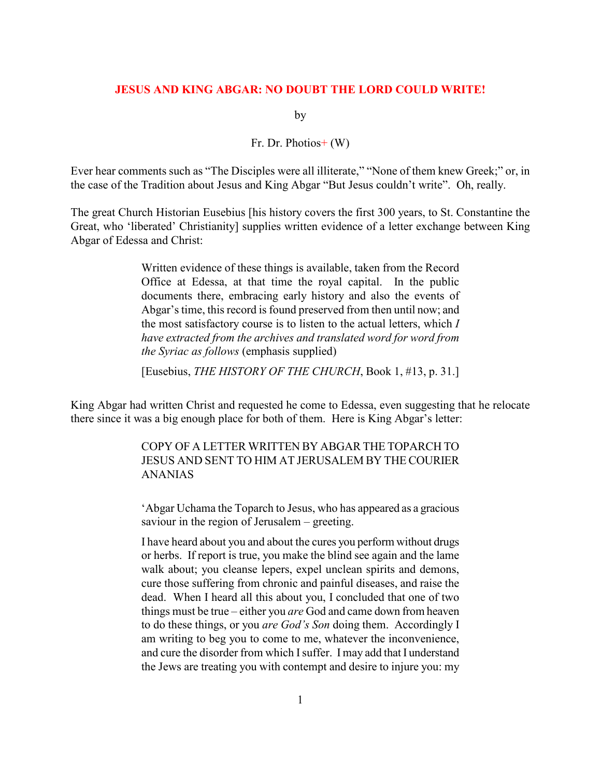## JESUS AND KING ABGAR: NO DOUBT THE LORD COULD WRITE!

by

## Fr. Dr. Photios+ (W)

Ever hear comments such as "The Disciples were all illiterate," "None of them knew Greek;" or, in the case of the Tradition about Jesus and King Abgar "But Jesus couldn't write". Oh, really.

The great Church Historian Eusebius [his history covers the first 300 years, to St. Constantine the Great, who 'liberated' Christianity] supplies written evidence of a letter exchange between King Abgar of Edessa and Christ:

> Written evidence of these things is available, taken from the Record Office at Edessa, at that time the royal capital. In the public documents there, embracing early history and also the events of Abgar's time, this record is found preserved from then until now; and the most satisfactory course is to listen to the actual letters, which  $I$ have extracted from the archives and translated word for word from the Syriac as follows (emphasis supplied)

> [Eusebius, THE HISTORY OF THE CHURCH, Book 1, #13, p. 31.]

King Abgar had written Christ and requested he come to Edessa, even suggesting that he relocate there since it was a big enough place for both of them. Here is King Abgar's letter:

> COPY OF A LETTER WRITTEN BY ABGAR THE TOPARCH TO JESUS AND SENT TO HIM AT JERUSALEM BY THE COURIER ANANIAS

> 'Abgar Uchama the Toparch to Jesus, who has appeared as a gracious saviour in the region of Jerusalem – greeting.

> I have heard about you and about the cures you perform without drugs or herbs. If report is true, you make the blind see again and the lame walk about; you cleanse lepers, expel unclean spirits and demons, cure those suffering from chronic and painful diseases, and raise the dead. When I heard all this about you, I concluded that one of two things must be true – either you *are* God and came down from heaven to do these things, or you are God's Son doing them. Accordingly I am writing to beg you to come to me, whatever the inconvenience, and cure the disorder from which I suffer. I may add that I understand the Jews are treating you with contempt and desire to injure you: my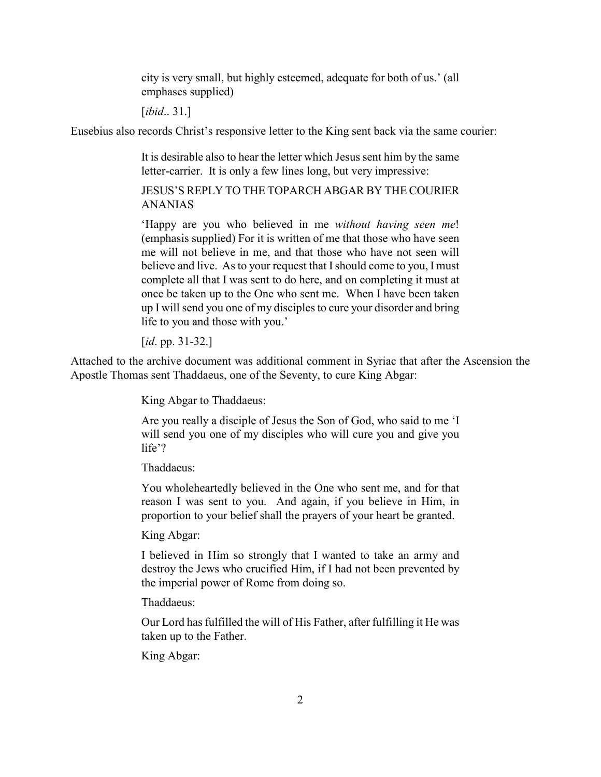city is very small, but highly esteemed, adequate for both of us.' (all emphases supplied)

[*ibid..* 31.]

Eusebius also records Christ's responsive letter to the King sent back via the same courier:

It is desirable also to hear the letter which Jesus sent him by the same letter-carrier. It is only a few lines long, but very impressive:

JESUS'S REPLY TO THE TOPARCH ABGAR BY THE COURIER ANANIAS

'Happy are you who believed in me without having seen me! (emphasis supplied) For it is written of me that those who have seen me will not believe in me, and that those who have not seen will believe and live. As to your request that I should come to you, I must complete all that I was sent to do here, and on completing it must at once be taken up to the One who sent me. When I have been taken up I will send you one of my disciples to cure your disorder and bring life to you and those with you.'

[*id.* pp. 31-32.]

Attached to the archive document was additional comment in Syriac that after the Ascension the Apostle Thomas sent Thaddaeus, one of the Seventy, to cure King Abgar:

King Abgar to Thaddaeus:

Are you really a disciple of Jesus the Son of God, who said to me 'I will send you one of my disciples who will cure you and give you life'?

Thaddaeus:

You wholeheartedly believed in the One who sent me, and for that reason I was sent to you. And again, if you believe in Him, in proportion to your belief shall the prayers of your heart be granted.

King Abgar:

I believed in Him so strongly that I wanted to take an army and destroy the Jews who crucified Him, if I had not been prevented by the imperial power of Rome from doing so.

Thaddaeus:

Our Lord has fulfilled the will of His Father, after fulfilling it He was taken up to the Father.

King Abgar: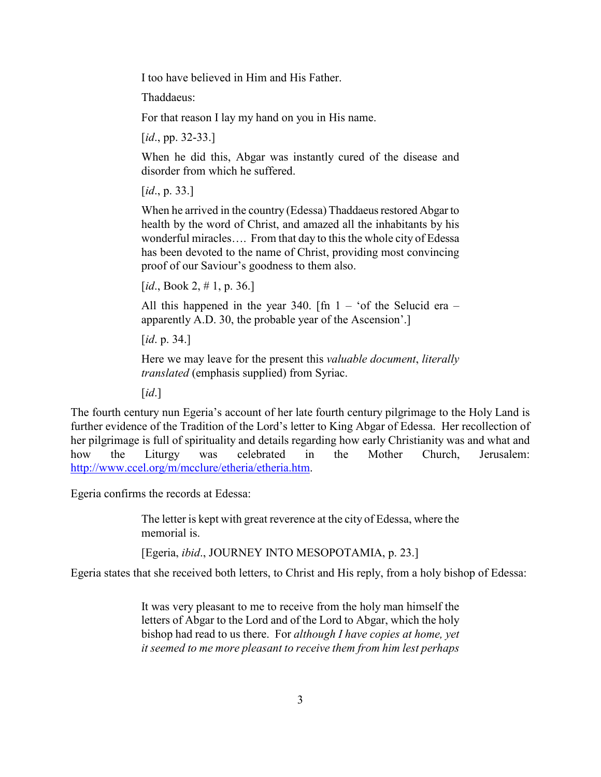I too have believed in Him and His Father.

Thaddaeus:

For that reason I lay my hand on you in His name.

[*id.*, pp. 32-33.]

When he did this, Abgar was instantly cured of the disease and disorder from which he suffered.

[*id.*, p. 33.]

When he arrived in the country (Edessa) Thaddaeus restored Abgar to health by the word of Christ, and amazed all the inhabitants by his wonderful miracles…. From that day to this the whole city of Edessa has been devoted to the name of Christ, providing most convincing proof of our Saviour's goodness to them also.

[ $id., Book 2, # 1, p. 36.]$ ]

All this happened in the year 340. [fn  $1 - '$ of the Selucid era – apparently A.D. 30, the probable year of the Ascension'.]

[*id.* p. 34.]

Here we may leave for the present this valuable document, literally translated (emphasis supplied) from Syriac.

 $\lceil id. \rceil$ 

The fourth century nun Egeria's account of her late fourth century pilgrimage to the Holy Land is further evidence of the Tradition of the Lord's letter to King Abgar of Edessa. Her recollection of her pilgrimage is full of spirituality and details regarding how early Christianity was and what and how the Liturgy was celebrated in the Mother Church, Jerusalem: http://www.ccel.org/m/mcclure/etheria/etheria.htm.

Egeria confirms the records at Edessa:

The letter is kept with great reverence at the city of Edessa, where the memorial is.

[Egeria, ibid., JOURNEY INTO MESOPOTAMIA, p. 23.]

Egeria states that she received both letters, to Christ and His reply, from a holy bishop of Edessa:

It was very pleasant to me to receive from the holy man himself the letters of Abgar to the Lord and of the Lord to Abgar, which the holy bishop had read to us there. For *although I have copies at home*, *yet* it seemed to me more pleasant to receive them from him lest perhaps